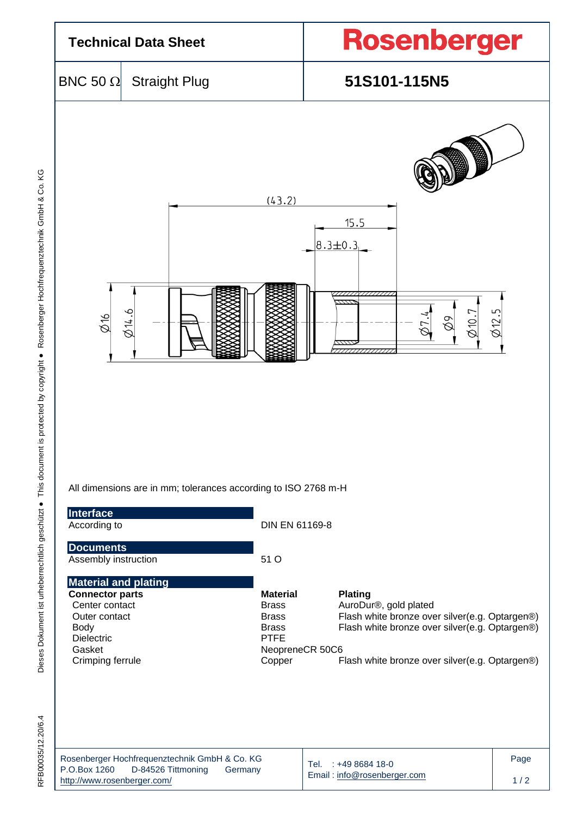

| Rosenberger Hochfrequenztechnik GmbH & Co. KG |                    |         |  |  |  |  |  |
|-----------------------------------------------|--------------------|---------|--|--|--|--|--|
| P.O.Box 1260                                  | D-84526 Tittmoning | Germany |  |  |  |  |  |
| http://www.rosenberger.com/                   |                    |         |  |  |  |  |  |

Email [: info@rosenberger.com](mailto:info@rosenberger.com)